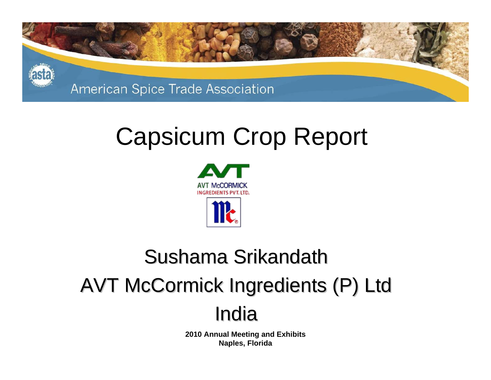

American Spice Trade Association

## Capsicum Crop Report



### Sushama Srikandath AVT McCormick Ingredients (P) Ltd India

**2010 Annual Meeting and Exhibits Naples, Florida**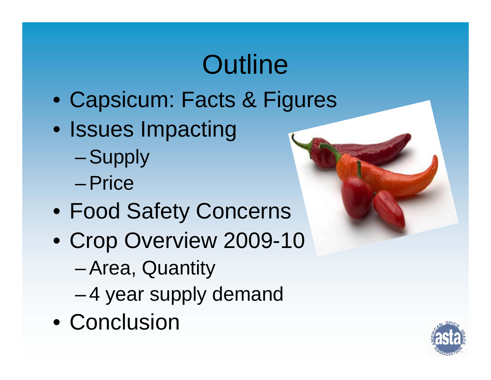# **Outline**

- Capsicum: Facts & Figures
- Issues Impacting – Supply –**Price**
- Food Safety Concerns
- Crop Overview 2009-10
	- –Area, Quantity
	- –4 year supply demand
- Conclusion



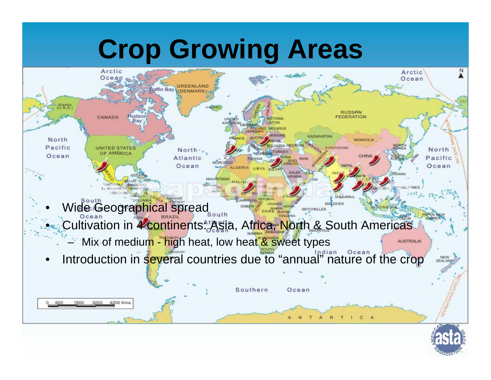# **Crop Growing Areas**

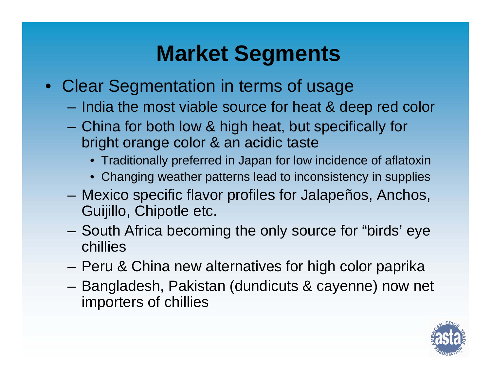### **Market Segments**

- Clear Segmentation in terms of usage
	- India the most viable source for heat & deep red color
	- China for both low & high heat, but specifically for bright orange color & an acidic taste
		- Traditionally preferred in Japan for low incidence of aflatoxin
		- Changing weather patterns lead to inconsistency in supplies
	- Mexico specific flavor profiles for Jalapeños, Anchos, Guijillo, Chipotle etc.
	- and the state of the state South Africa becoming the only source for "birds' eye chillies
	- –Peru & China new alternatives for high color paprika
	- – Bangladesh, Pakistan (dundicuts & cayenne) now net importers of chillies

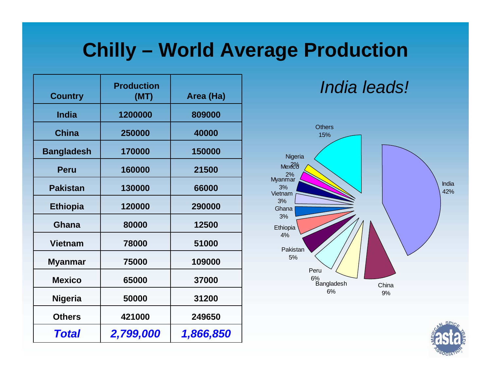#### **Chilly – World Average Production**

|                   | <b>Production</b> |           |
|-------------------|-------------------|-----------|
| <b>Country</b>    | (MT)              | Area (Ha) |
| <b>India</b>      | 1200000           | 809000    |
| China             | 250000            | 40000     |
| <b>Bangladesh</b> | 170000            | 150000    |
| <b>Peru</b>       | 160000            | 21500     |
| <b>Pakistan</b>   | 130000            | 66000     |
| <b>Ethiopia</b>   | 120000            | 290000    |
| Ghana             | 80000             | 12500     |
| <b>Vietnam</b>    | 78000             | 51000     |
| <b>Myanmar</b>    | 75000             | 109000    |
| <b>Mexico</b>     | 65000             | 37000     |
| <b>Nigeria</b>    | 50000             | 31200     |
| <b>Others</b>     | 421000            | 249650    |
| Total             | 2,799,000         | 1,866,850 |

*India leads!*



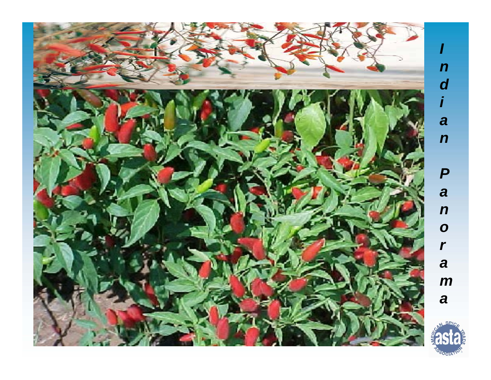

*n d i a n P a n o r a m a*

*I*

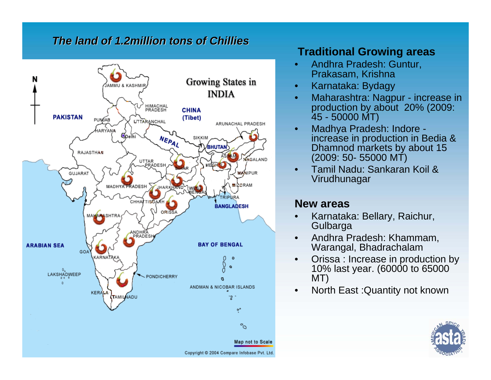#### *The land of 1.2million tons of Chillies The land of 1.2million tons of Chillies*



#### **Traditional Growing areas**

- • Andhra Pradesh: Guntur, Prakasam, Krishna
- $\bullet$ Karnataka: Bydagy
- • Maharashtra: Nagpur - increase in production by about 20% (2009: 45 - 50000 MT)
- • Madhya Pradesh: Indore increase in production in Bedia & Dhamnod markets by about 15 (2009: 50- 55000 MT)
- • Tamil Nadu: Sankaran Koil & Virudhunagar

#### **New areas**

- • Karnataka: Bellary, Raichur, Gulbarga
- • Andhra Pradesh: Khammam, Warangal, Bhadrachalam
- • Orissa : Increase in production by 10% last year. (60000 to 65000 MT)
- •North East :Quantity not known

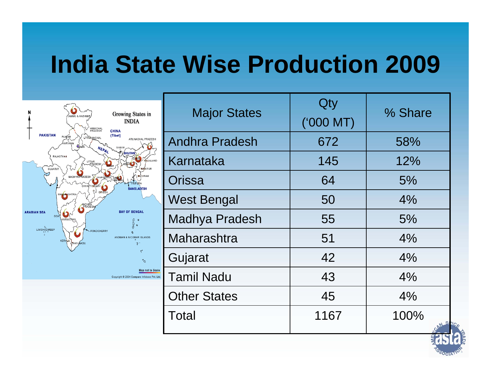### **India State Wise Production 2009**

| ANDHRA<br>PRADESH<br><b>BAY OF BENGAL</b><br><b>ARABIAN SEA</b><br>GOA<br>KARNATAK<br>o<br>$\ddot{\phantom{0}}$<br>LAKSHADWEEP<br><b>PONDICHERRY</b><br>G<br>$\ddot{\rm{o}}$<br>ANDMAN & NICOBAR ISLANDS<br><b>KERALA</b><br>TAMILNADU<br>'혼'<br>0 <sup>0</sup><br>$O^{\circ}$ | N<br>JAMMU & KASHMIF<br>HIMACHAL<br>PRADESH<br><b>PAKISTAN</b><br>PUNDAB<br><b>UTTARANCHAL</b><br>HARYANA<br><b>M</b> Delhi<br>NEPAL<br><b>RAJASTHAN</b><br>UTTAR<br>CPRADESH<br><b>GUJARAT</b><br><b>MADHYA PRADESH</b><br>JHARKHAND<br>CHHATTISGARH<br>ORISSA<br>HTR/ | Growing States in<br><b>INDIA</b><br><b>CHINA</b><br>(Tibet)<br>ARUNACHAL PRADESH<br>SIKKIM<br><b>BHUTAN</b><br>ASSAM<br><b>NAGALAND</b><br>łG.<br><b>MANIPUR</b><br><b>MIZORAM</b><br>WEST<br>TRIPURA<br><b>BANGLADESH</b> |
|--------------------------------------------------------------------------------------------------------------------------------------------------------------------------------------------------------------------------------------------------------------------------------|-------------------------------------------------------------------------------------------------------------------------------------------------------------------------------------------------------------------------------------------------------------------------|-----------------------------------------------------------------------------------------------------------------------------------------------------------------------------------------------------------------------------|
|                                                                                                                                                                                                                                                                                |                                                                                                                                                                                                                                                                         | Map not to Scale<br>Copyright @ 2004 Compare Infobase Pvt. Ltd                                                                                                                                                              |

| <b>Major States</b>   | Qty<br>$(500$ MT) | % Share |
|-----------------------|-------------------|---------|
| <b>Andhra Pradesh</b> | 672               | 58%     |
| Karnataka             | 145               | 12%     |
| Orissa                | 64                | 5%      |
| <b>West Bengal</b>    | 50                | 4%      |
| <b>Madhya Pradesh</b> | 55                | 5%      |
| Maharashtra           | 51                | 4%      |
| Gujarat               | 42                | 4%      |
| <b>Tamil Nadu</b>     | 43                | 4%      |
| <b>Other States</b>   | 45                | 4%      |
| Total                 | 1167              | 100%    |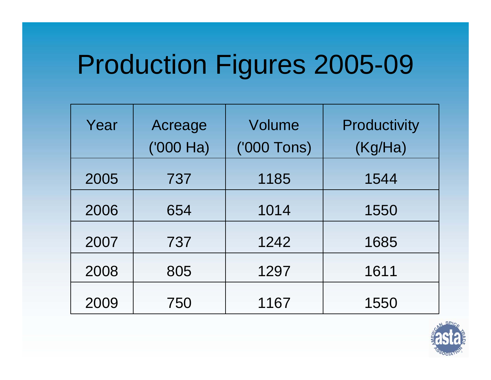# Production Figures 2005-09

| Year | Acreage<br>$(000 \text{ Ha})$ | Volume<br>('000 Tons) | Productivity<br>(Kg/Ha) |
|------|-------------------------------|-----------------------|-------------------------|
| 2005 | 737                           | 1185                  | 1544                    |
| 2006 | 654                           | 1014                  | 1550                    |
| 2007 | 737                           | 1242                  | 1685                    |
| 2008 | 805                           | 1297                  | 1611                    |
| 2009 | 750                           | 1167                  | 1550                    |

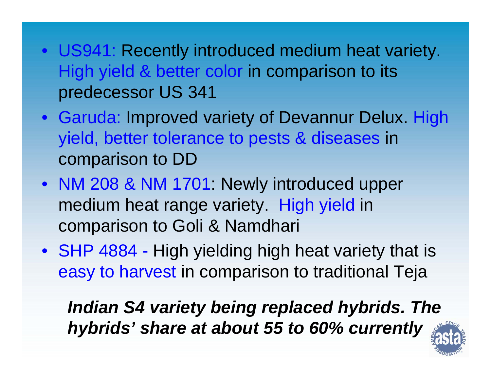- US941: Recently introduced medium heat variety. High yield & better color in comparison to its predecessor US 341
- Garuda: Improved variety of Devannur Delux. High yield, better tolerance to pests & diseases in comparison to DD
- NM 208 & NM 1701: Newly introduced upper medium heat range variety. High yield in comparison to Goli & Namdhari
- SHP 4884 High yielding high heat variety that is easy to harvest in comparison to traditional Teja

*Indian S4 variety being replaced hybrids. The hybrids hybrids' share at about 55 to 60% currently share at about 55 to 60% currently*

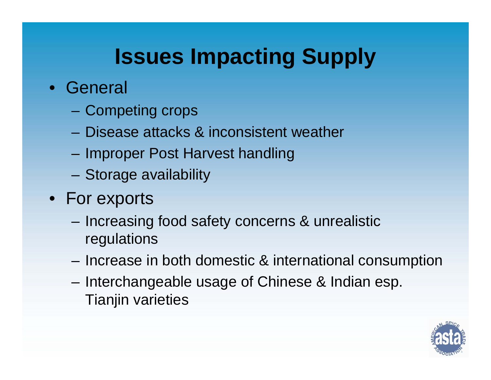### **Issues Impacting Supply**

- General
	- Competing crops
	- Disease attacks & inconsistent weather
	- **Holland** Improper Post Harvest handling
	- **Holland** and the state of the Storage availability
- For exports
	- – Increasing food safety concerns & unrealistic regulations
	- –Increase in both domestic & international consumption
	- and the state of the state Interchangeable usage of Chinese & Indian esp. Tianjin varieties

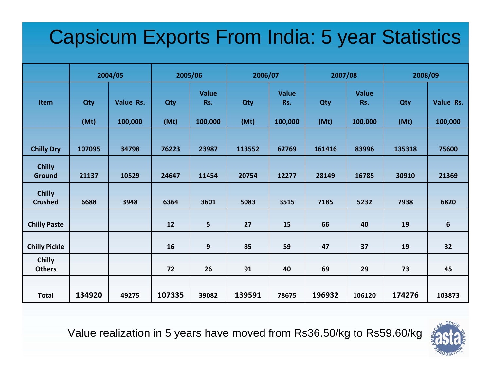#### Capsicum Exports From India: 5 year Statistics

|                                 |        | 2004/05   | 2005/06 |                     | 2006/07    |                     | 2007/08    |                     | 2008/09 |           |
|---------------------------------|--------|-----------|---------|---------------------|------------|---------------------|------------|---------------------|---------|-----------|
| <b>Item</b>                     | Qty    | Value Rs. | Qty     | <b>Value</b><br>Rs. | <b>Qty</b> | <b>Value</b><br>Rs. | <b>Qty</b> | <b>Value</b><br>Rs. | Qty     | Value Rs. |
|                                 | (Mt)   | 100,000   | (Mt)    | 100,000             | (Mt)       | 100,000             | (Mt)       | 100,000             | (Mt)    | 100,000   |
| <b>Chilly Dry</b>               | 107095 | 34798     | 76223   | 23987               | 113552     | 62769               | 161416     | 83996               | 135318  | 75600     |
| <b>Chilly</b><br><b>Ground</b>  | 21137  | 10529     | 24647   | 11454               | 20754      | 12277               | 28149      | 16785               | 30910   | 21369     |
| <b>Chilly</b><br><b>Crushed</b> | 6688   | 3948      | 6364    | 3601                | 5083       | 3515                | 7185       | 5232                | 7938    | 6820      |
| <b>Chilly Paste</b>             |        |           | 12      | 5                   | 27         | 15                  | 66         | 40                  | 19      | 6         |
| <b>Chilly Pickle</b>            |        |           | 16      | 9                   | 85         | 59                  | 47         | 37                  | 19      | 32        |
| <b>Chilly</b><br><b>Others</b>  |        |           | 72      | 26                  | 91         | 40                  | 69         | 29                  | 73      | 45        |
| <b>Total</b>                    | 134920 | 49275     | 107335  | 39082               | 139591     | 78675               | 196932     | 106120              | 174276  | 103873    |

Value realization in 5 years have moved from Rs36.50/kg to Rs59.60/kg

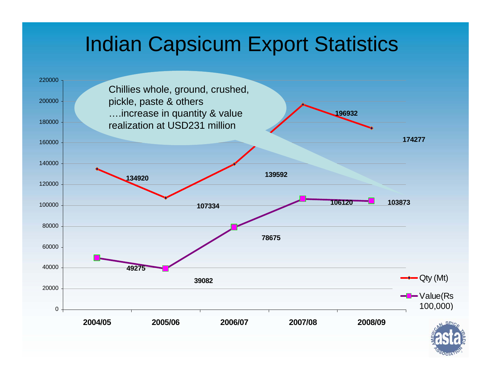#### Indian Capsicum Export Statistics

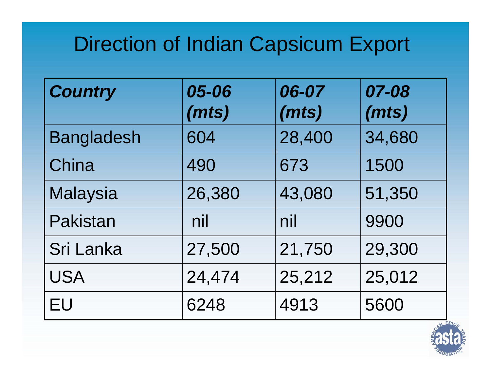#### Direction of Indian Capsicum Export

| <b>Country</b>    | 05-06<br>(mts) | 06-07<br>(mts) | 07-08<br>(mts) |
|-------------------|----------------|----------------|----------------|
| <b>Bangladesh</b> | 604            | 28,400         | 34,680         |
| China             | 490            | 673            | 1500           |
| <b>Malaysia</b>   | 26,380         | 43,080         | 51,350         |
| Pakistan          | nil            | nil            | 9900           |
| Sri Lanka         | 27,500         | 21,750         | 29,300         |
| <b>USA</b>        | 24,474         | 25,212         | 25,012         |
| <b>EU</b>         | 6248           | 4913           | 5600           |

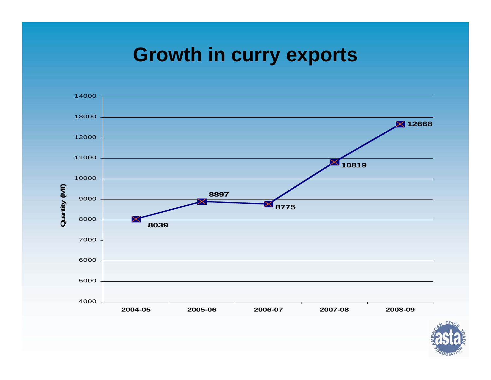#### **Growth in curry exports**



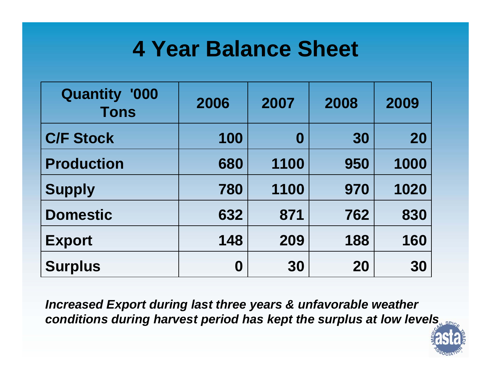### **4 Year Balance Sheet**

| <b>Quantity '000</b><br><b>Tons</b> | 2006             | 2007             | 2008 | 2009 |
|-------------------------------------|------------------|------------------|------|------|
| <b>C/F Stock</b>                    | 100              | $\boldsymbol{0}$ | 30   | 20   |
| <b>Production</b>                   | 680              | 1100             | 950  | 1000 |
| <b>Supply</b>                       | 780              | 1100             | 970  | 1020 |
| <b>Domestic</b>                     | 632              | 871              | 762  | 830  |
| <b>Export</b>                       | 148              | 209              | 188  | 160  |
| <b>Surplus</b>                      | $\boldsymbol{0}$ | 30               | 20   | 30   |

*Increased Export during last three years & unfavorable weather conditions during harvest period has kept the surplus at low levels*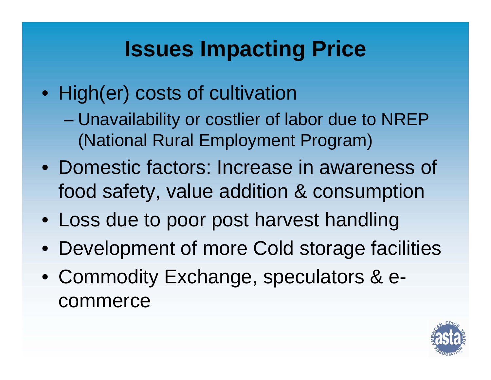### **Issues Impacting Price**

- High(er) costs of cultivation
	- Unavailability or costlier of labor due to NREP (National Rural Employment Program)
- Domestic factors: Increase in awareness of food safety, value addition & consumption
- Loss due to poor post harvest handling
- Development of more Cold storage facilities
- Commodity Exchange, speculators & ecommerce

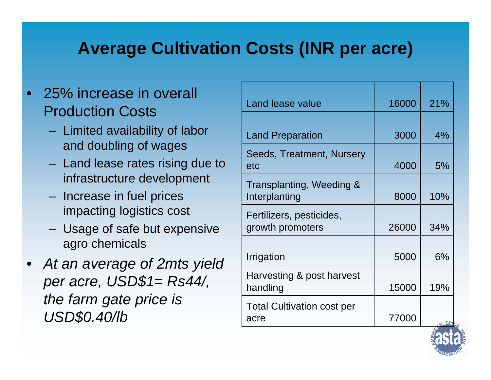#### **Average Cultivation Costs (INR per acre)**

- 25% increase in overall Production Costs
	- Limited availability of labor and doubling of wages
	- Land lease rates rising due to infrastructure development
	- Increase in fuel prices impacting logistics cost
	- – Usage of safe but expensive agro chemicals
- • *At an average of 2mts yield per acre, USD\$1= Rs44/, the farm gate price is USD\$0.40/lb*

| <b>Land lease value</b>                      | 16000 | 21% |
|----------------------------------------------|-------|-----|
| <b>Land Preparation</b>                      | 3000  | 4%  |
| Seeds, Treatment, Nursery<br>etc             | 4000  | 5%  |
| Transplanting, Weeding &<br>Interplanting    | 8000  | 10% |
| Fertilizers, pesticides,<br>growth promoters | 26000 | 34% |
| Irrigation                                   | 5000  | 6%  |
| Harvesting & post harvest<br>handling        | 15000 | 19% |
| <b>Total Cultivation cost per</b><br>acre    | 77000 |     |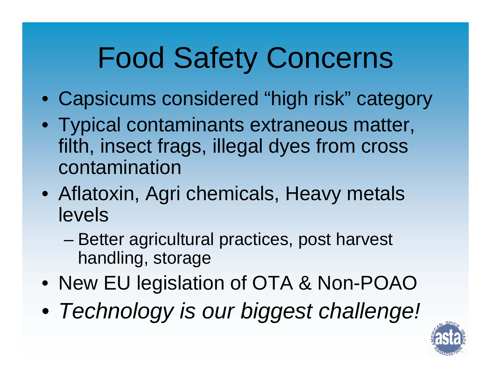# Food Safety Concerns

- Capsicums considered "high risk" category
- Typical contaminants extraneous matter, filth, insect frags, illegal dyes from cross contamination
- Aflatoxin, Agri chemicals, Heavy metals levels
	- – Better agricultural practices, post harvest handling, storage
- New EU legislation of OTA & Non-POAO
- *Technology is our biggest challenge!*

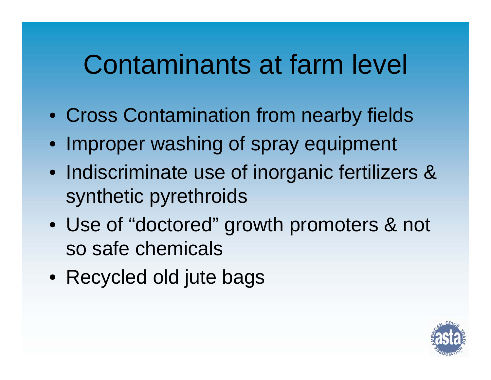## Contaminants at farm level

- Cross Contamination from nearby fields
- Improper washing of spray equipment
- Indiscriminate use of inorganic fertilizers & synthetic pyrethroids
- Use of "doctored" growth promoters & not so safe chemicals
- Recycled old jute bags

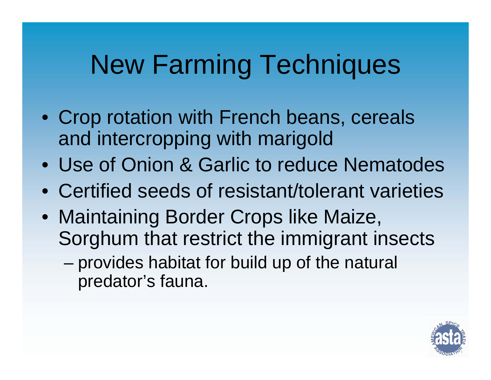## New Farming Techniques

- Crop rotation with French beans, cereals and intercropping with marigold
- Use of Onion & Garlic to reduce Nematodes
- Certified seeds of resistant/tolerant varieties
- Maintaining Border Crops like Maize, Sorghum that restrict the immigrant insects
	- – provides habitat for build up of the natural predator's fauna.

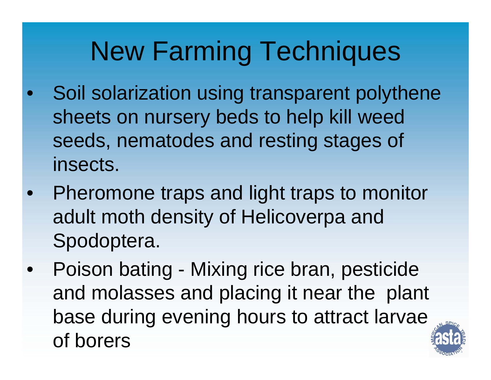# New Farming Techniques

- $\bullet$  Soil solarization using transparent polythene sheets on nursery beds to help kill weed seeds, nematodes and resting stages of insects.
- $\bullet$  Pheromone traps and light traps to monitor adult moth density of Helicoverpa and Spodoptera.
- • Poison bating - Mixing rice bran, pesticide and molasses and placing it near the plant base during evening hours to attract larvae of borers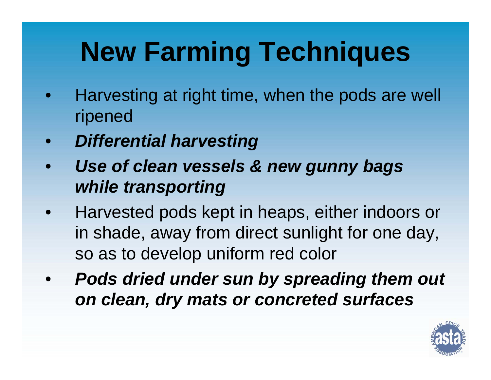# **New Farming Techniques**

- $\bullet$  Harvesting at right time, when the pods are well ripened
- •*Differential harvesting*
- $\bullet$  *Use of clean vessels & new gunny bags while transporting*
- • Harvested pods kept in heaps, either indoors or in shade, away from direct sunlight for one day, so as to develop uniform red color
- • *Pods dried under sun by spreading them out on clean, dry mats or concreted surfaces*

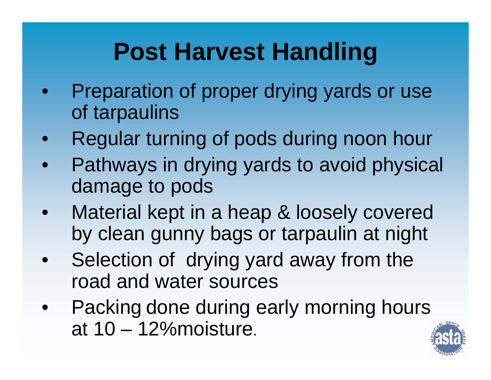## **Post Harvest Handling**

- $\bullet$  Preparation of proper drying yards or use of tarpaulins
- •Regular turning of pods during noon hour
- $\bullet$  Pathways in drying yards to avoid physical damage to pods
- • Material kept in a heap & loosely covered by clean gunny bags or tarpaulin at night
- • Selection of drying yard away from the road and water sources
- • Packing done during early morning hours at 10 – 12%moisture.

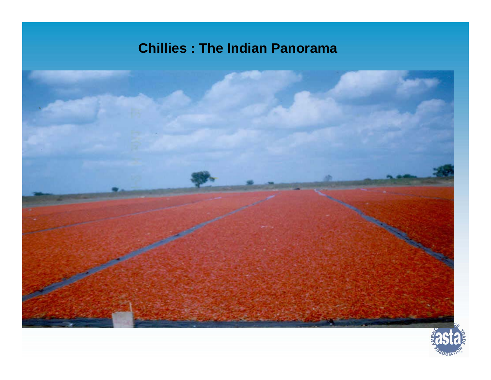#### **Chillies : The Indian Panorama**

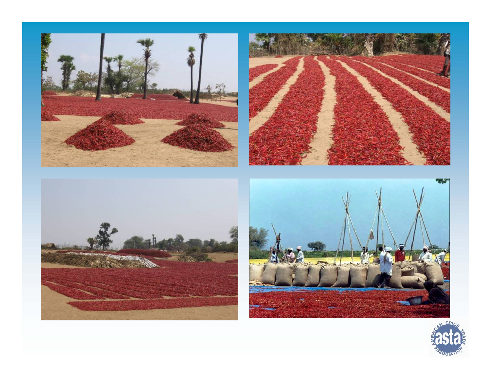







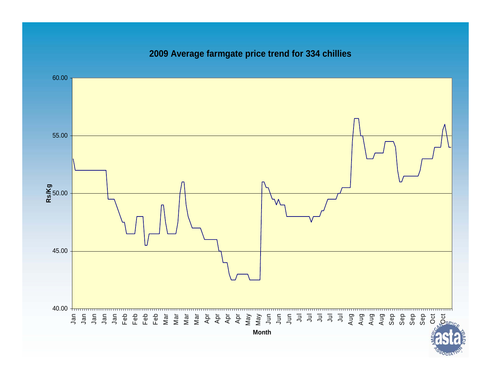#### **2009 Average farmgate price trend for 334 chillies**

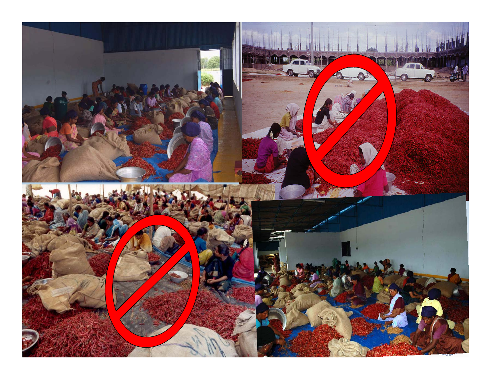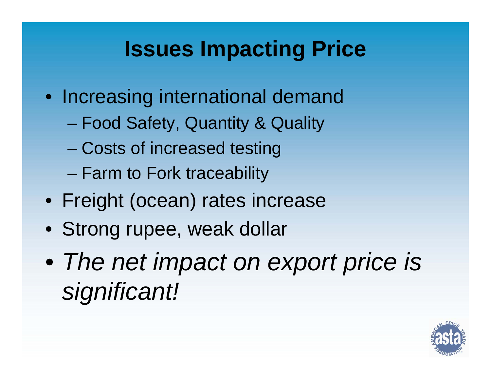### **Issues Impacting Price**

- Increasing international demand
	- Food Safety, Quantity & Quality
	- –Costs of increased testing
	- –Farm to Fork traceability
- Freight (ocean) rates increase
- Strong rupee, weak dollar
- $\bullet$  *The net impact on export price is significant!*

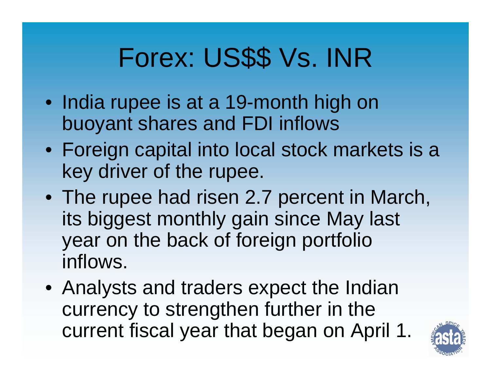# Forex: US\$\$ Vs. INR

- India rupee is at a 19-month high on buoyant shares and FDI inflows
- Foreign capital into local stock markets is a key driver of the rupee.
- The rupee had risen 2.7 percent in March, its biggest monthly gain since May last year on the back of foreign portfolio inflows.
- Analysts and traders expect the Indian currency to strengthen further in the current fiscal year that began on April 1.

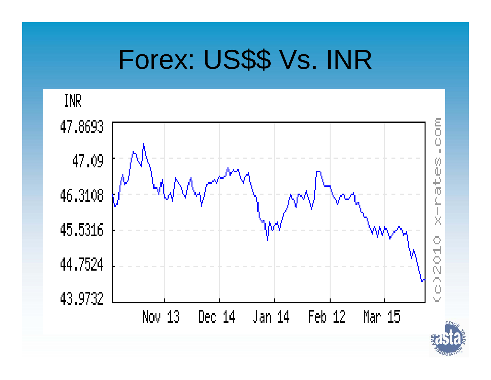## Forex: US\$\$ Vs. INR

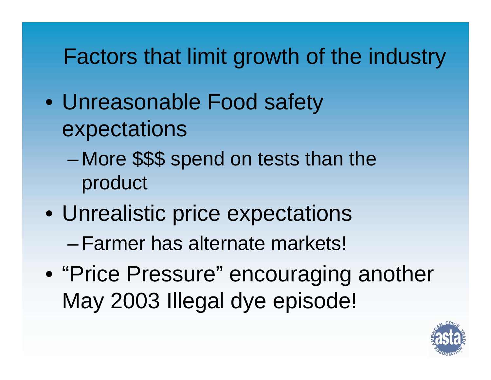### Factors that limit growth of the industry

- Unreasonable Food safety expectations
	- – More \$\$\$ spend on tests than the product
- Unrealistic price expectations –Farmer has alternate markets!
- "Price Pressure" encouraging another May 2003 Illegal dye episode!

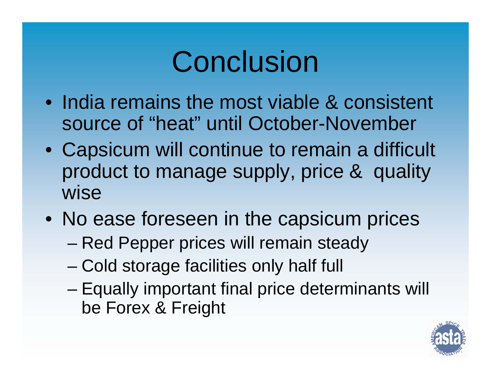# **Conclusion**

- India remains the most viable & consistent source of "heat" until October-November
- Capsicum will continue to remain a difficult product to manage supply, price & quality wise
- No ease foreseen in the capsicum prices
	- –Red Pepper prices will remain steady
	- –Cold storage facilities only half full
	- – Equally important final price determinants will be Forex & Freight

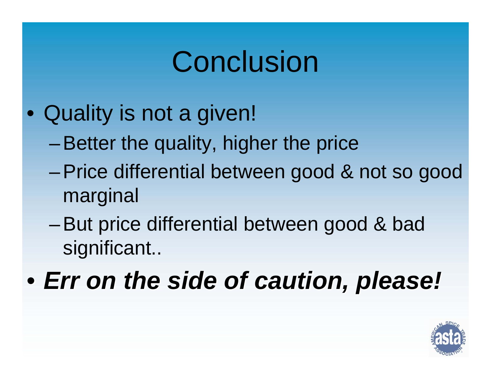# **Conclusion**

- Quality is not a given!
	- –Better the quality, higher the price
	- – Price differential between good & not so good marginal
	- – But price differential between good & bad significant..

#### $\bullet$ *Err on the side of caution, please! Err on the side of caution, please!*